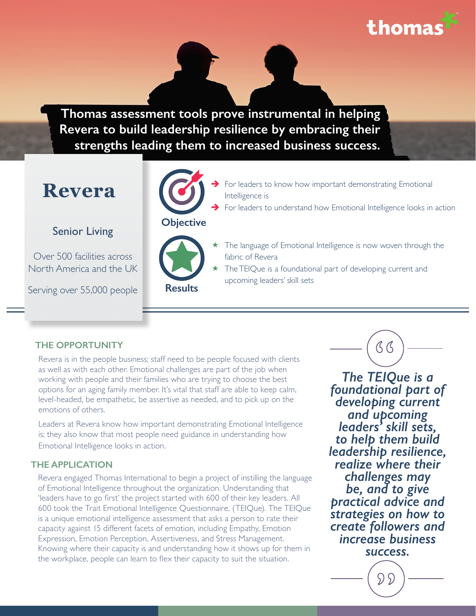thoma

**Thomas assessment tools prove instrumental in helping Revera to build leadership resilience by embracing their strengths leading them to increased business success.**

# **Revera**

### Senior Living

Over 500 facilities across North America and the UK

Serving over 55,000 people



## **Objective**



- For leaders to know how important demonstrating Emotional Intelligence is
- For leaders to understand how Emotional Intelligence looks in action
	- The language of Emotional Intelligence is now woven through the fabric of Revera
	- The TEIQue is a foundational part of developing current and upcoming leaders' skill sets

### **THE OPPORTUNITY**

Revera is in the people business; staff need to be people focused with clients as well as with each other. Emotional challenges are part of the job when working with people and their families who are trying to choose the best options for an aging family member. It's vital that staff are able to keep calm, level-headed, be empathetic, be assertive as needed, and to pick up on the emotions of others.

Leaders at Revera know how important demonstrating Emotional Intelligence is; they also know that most people need guidance in understanding how Emotional Intelligence looks in action.

#### **THE APPLICATION**

Revera engaged Thomas International to begin a project of instilling the language of Emotional Intelligence throughout the organization. Understanding that 'leaders have to go first' the project started with 600 of their key leaders. All 600 took the Trait Emotional Intelligence Questionnaire, (TEIQue). The TEIQue is a unique emotional intelligence assessment that asks a person to rate their capacity against 15 different facets of emotion, including Empathy, Emotion Expression, Emotion Perception, Assertiveness, and Stress Management. Knowing where their capacity is and understanding how it shows up for them in the workplace, people can learn to flex their capacity to suit the situation.

(S (S *The TEIQue is a* 

*foundational part of developing current and upcoming leaders' skill sets, to help them build leadership resilience, realize where their challenges may be, and to give practical advice and strategies on how to create followers and increase business success.*